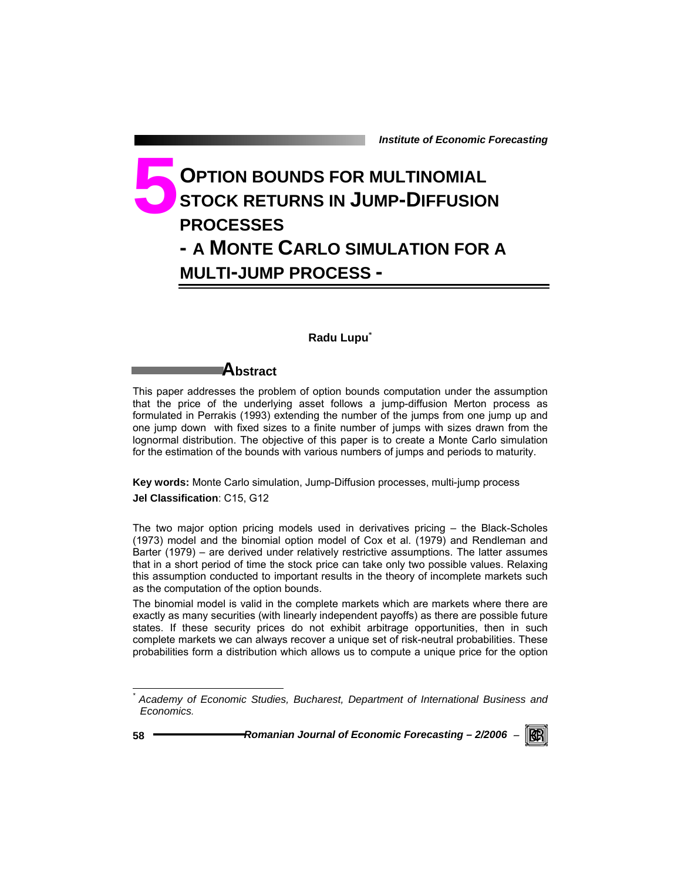# **OPTION BOUNDS FOR MULTINOMIAL STOCK RETURNS IN JUMP-DIFFUSION PROCESSES - A MONTE CARLO SIMULATION FOR A MULTI-JUMP PROCESS - 5**

### **Radu Lupu\***

# **Abstract**

This paper addresses the problem of option bounds computation under the assumption that the price of the underlying asset follows a jump-diffusion Merton process as formulated in Perrakis (1993) extending the number of the jumps from one jump up and one jump down with fixed sizes to a finite number of jumps with sizes drawn from the lognormal distribution. The objective of this paper is to create a Monte Carlo simulation for the estimation of the bounds with various numbers of jumps and periods to maturity.

**Key words:** Monte Carlo simulation, Jump-Diffusion processes, multi-jump process **Jel Classification**: C15, G12

The two major option pricing models used in derivatives pricing – the Black-Scholes (1973) model and the binomial option model of Cox et al. (1979) and Rendleman and Barter (1979) – are derived under relatively restrictive assumptions. The latter assumes that in a short period of time the stock price can take only two possible values. Relaxing this assumption conducted to important results in the theory of incomplete markets such as the computation of the option bounds.

The binomial model is valid in the complete markets which are markets where there are exactly as many securities (with linearly independent payoffs) as there are possible future states. If these security prices do not exhibit arbitrage opportunities, then in such complete markets we can always recover a unique set of risk-neutral probabilities. These probabilities form a distribution which allows us to compute a unique price for the option

l



*<sup>\*</sup> Academy of Economic Studies, Bucharest, Department of International Business and Economics.*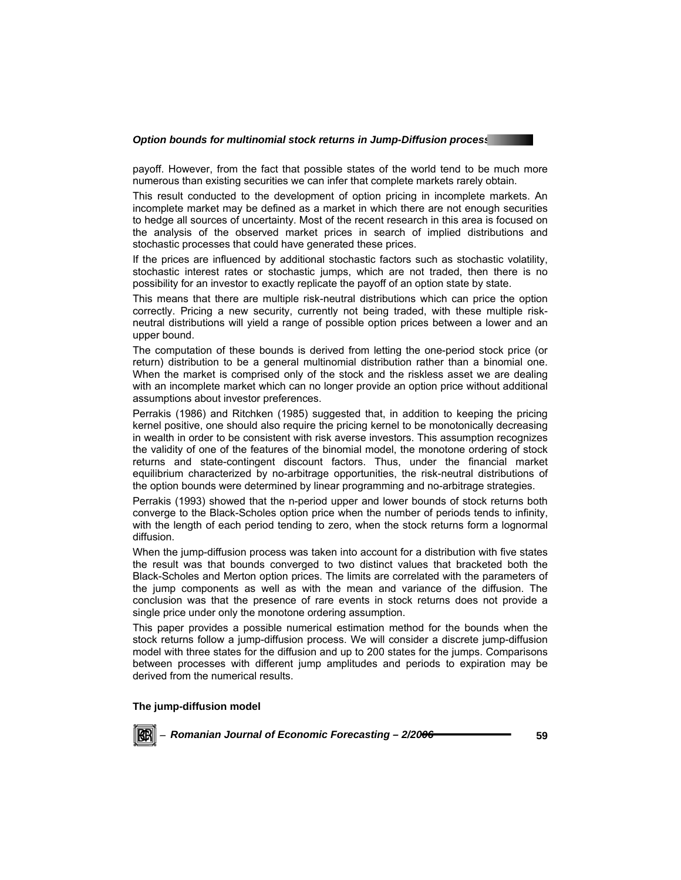#### **Option bounds for multinomial stock returns in Jump-Diffusion processering**

payoff. However, from the fact that possible states of the world tend to be much more numerous than existing securities we can infer that complete markets rarely obtain.

This result conducted to the development of option pricing in incomplete markets. An incomplete market may be defined as a market in which there are not enough securities to hedge all sources of uncertainty. Most of the recent research in this area is focused on the analysis of the observed market prices in search of implied distributions and stochastic processes that could have generated these prices.

If the prices are influenced by additional stochastic factors such as stochastic volatility, stochastic interest rates or stochastic jumps, which are not traded, then there is no possibility for an investor to exactly replicate the payoff of an option state by state.

This means that there are multiple risk-neutral distributions which can price the option correctly. Pricing a new security, currently not being traded, with these multiple riskneutral distributions will yield a range of possible option prices between a lower and an upper bound.

The computation of these bounds is derived from letting the one-period stock price (or return) distribution to be a general multinomial distribution rather than a binomial one. When the market is comprised only of the stock and the riskless asset we are dealing with an incomplete market which can no longer provide an option price without additional assumptions about investor preferences.

Perrakis (1986) and Ritchken (1985) suggested that, in addition to keeping the pricing kernel positive, one should also require the pricing kernel to be monotonically decreasing in wealth in order to be consistent with risk averse investors. This assumption recognizes the validity of one of the features of the binomial model, the monotone ordering of stock returns and state-contingent discount factors. Thus, under the financial market equilibrium characterized by no-arbitrage opportunities, the risk-neutral distributions of the option bounds were determined by linear programming and no-arbitrage strategies.

Perrakis (1993) showed that the n-period upper and lower bounds of stock returns both converge to the Black-Scholes option price when the number of periods tends to infinity, with the length of each period tending to zero, when the stock returns form a lognormal diffusion.

When the jump-diffusion process was taken into account for a distribution with five states the result was that bounds converged to two distinct values that bracketed both the Black-Scholes and Merton option prices. The limits are correlated with the parameters of the jump components as well as with the mean and variance of the diffusion. The conclusion was that the presence of rare events in stock returns does not provide a single price under only the monotone ordering assumption.

This paper provides a possible numerical estimation method for the bounds when the stock returns follow a jump-diffusion process. We will consider a discrete jump-diffusion model with three states for the diffusion and up to 200 states for the jumps. Comparisons between processes with different jump amplitudes and periods to expiration may be derived from the numerical results.

#### **The jump-diffusion model**

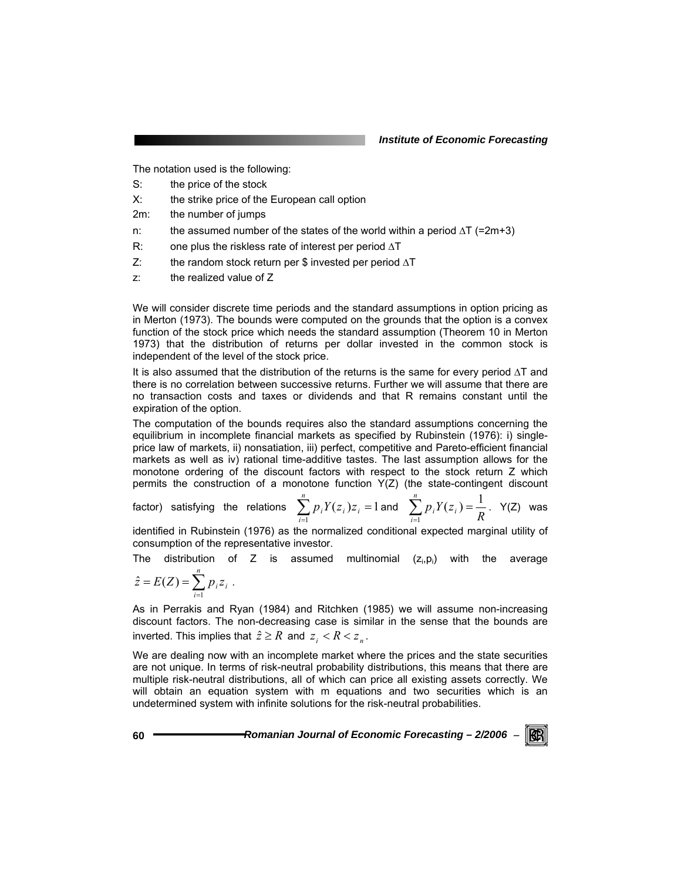The notation used is the following:

- S: the price of the stock
- X: the strike price of the European call option
- 2m: the number of jumps
- n: the assumed number of the states of the world within a period  $\Delta T$  (=2m+3)
- R: one plus the riskless rate of interest per period ∆T
- Z: the random stock return per \$ invested per period ∆T
- z: the realized value of Z

We will consider discrete time periods and the standard assumptions in option pricing as in Merton (1973). The bounds were computed on the grounds that the option is a convex function of the stock price which needs the standard assumption (Theorem 10 in Merton 1973) that the distribution of returns per dollar invested in the common stock is independent of the level of the stock price.

It is also assumed that the distribution of the returns is the same for every period ∆T and there is no correlation between successive returns. Further we will assume that there are no transaction costs and taxes or dividends and that R remains constant until the expiration of the option.

The computation of the bounds requires also the standard assumptions concerning the equilibrium in incomplete financial markets as specified by Rubinstein (1976): i) singleprice law of markets, ii) nonsatiation, iii) perfect, competitive and Pareto-efficient financial markets as well as iv) rational time-additive tastes. The last assumption allows for the monotone ordering of the discount factors with respect to the stock return Z which permits the construction of a monotone function Y(Z) (the state-contingent discount

factor) satisfying the relations 
$$
\sum_{i=1}^{n} p_i Y(z_i) z_i = 1
$$
 and  $\sum_{i=1}^{n} p_i Y(z_i) = \frac{1}{R}$ . Y(Z) was

identified in Rubinstein (1976) as the normalized conditional expected marginal utility of consumption of the representative investor.

The distribution of Z is assumed multinomial 
$$
(z_i, p_i)
$$
 with the average  $\hat{z} = E(Z) = \sum_{i=1}^{n} p_i z_i$ 

$$
\hat{z} = E(Z) = \sum_{i=1}^n p_i z_i .
$$

As in Perrakis and Ryan (1984) and Ritchken (1985) we will assume non-increasing discount factors. The non-decreasing case is similar in the sense that the bounds are inverted. This implies that  $\hat{z} \geq R$  and  $z_i < R < z_n$ .

We are dealing now with an incomplete market where the prices and the state securities are not unique. In terms of risk-neutral probability distributions, this means that there are multiple risk-neutral distributions, all of which can price all existing assets correctly. We will obtain an equation system with m equations and two securities which is an undetermined system with infinite solutions for the risk-neutral probabilities.

**60** *Romanian Journal of Economic Forecasting – 2/2006* <sup>−</sup>

KBI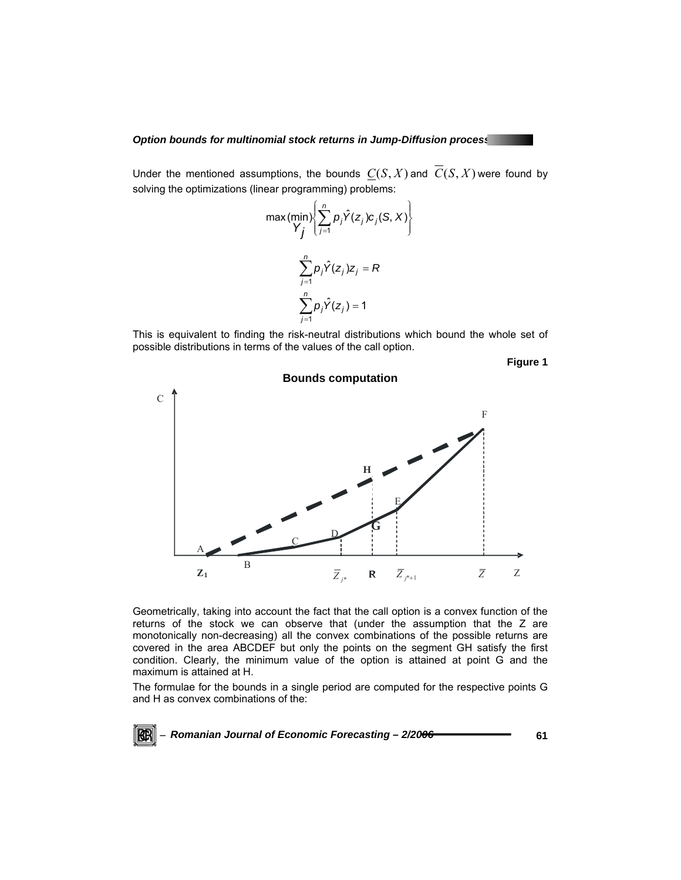#### *Option bounds for multinomial stock returns in Jump-Diffusion processes*

Under the mentioned assumptions, the bounds  $C(S, X)$  and  $\overline{C}(S, X)$  were found by solving the optimizations (linear programming) problems:

$$
\max \left( \min_{\mathbf{Y}_j} \left\{ \sum_{j=1}^n p_j \hat{Y}(z_j) c_j(S, X) \right\}
$$

$$
\sum_{j=1}^n p_j \hat{Y}(z_j) z_j = R
$$

$$
\sum_{j=1}^n p_j \hat{Y}(z_j) = 1
$$

This is equivalent to finding the risk-neutral distributions which bound the whole set of possible distributions in terms of the values of the call option.

**Figure 1** 



Geometrically, taking into account the fact that the call option is a convex function of the returns of the stock we can observe that (under the assumption that the Z are monotonically non-decreasing) all the convex combinations of the possible returns are covered in the area ABCDEF but only the points on the segment GH satisfy the first condition. Clearly, the minimum value of the option is attained at point G and the maximum is attained at H.

The formulae for the bounds in a single period are computed for the respective points G and H as convex combinations of the: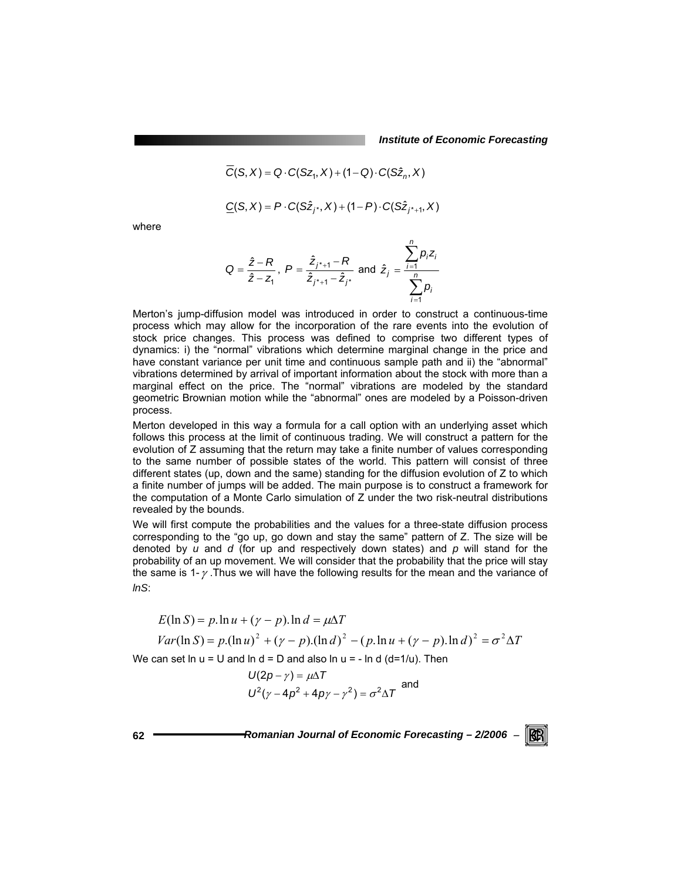$$
C(S, X) = Q \cdot C(Sz_1, X) + (1 - Q) \cdot C(S\hat{z}_n, X)
$$

$$
\underline{C}(S, X) = P \cdot C(S\hat{z}_{j^*}, X) + (1 - P) \cdot C(S\hat{z}_{j^*+1}, X)
$$

where

$$
Q = \frac{\hat{z} - R}{\hat{z} - z_1}, \ P = \frac{\hat{z}_{j^* + 1} - R}{\hat{z}_{j^* + 1} - \hat{z}_{j^*}} \text{ and } \hat{z}_j = \frac{\sum_{i=1}^n p_i z_i}{\sum_{i=1}^n p_i}
$$

Merton's jump-diffusion model was introduced in order to construct a continuous-time process which may allow for the incorporation of the rare events into the evolution of stock price changes. This process was defined to comprise two different types of dynamics: i) the "normal" vibrations which determine marginal change in the price and have constant variance per unit time and continuous sample path and ii) the "abnormal" vibrations determined by arrival of important information about the stock with more than a marginal effect on the price. The "normal" vibrations are modeled by the standard geometric Brownian motion while the "abnormal" ones are modeled by a Poisson-driven process.

Merton developed in this way a formula for a call option with an underlying asset which follows this process at the limit of continuous trading. We will construct a pattern for the evolution of Z assuming that the return may take a finite number of values corresponding to the same number of possible states of the world. This pattern will consist of three different states (up, down and the same) standing for the diffusion evolution of Z to which a finite number of jumps will be added. The main purpose is to construct a framework for the computation of a Monte Carlo simulation of Z under the two risk-neutral distributions revealed by the bounds.

We will first compute the probabilities and the values for a three-state diffusion process corresponding to the "go up, go down and stay the same" pattern of Z. The size will be denoted by *u* and *d* (for up and respectively down states) and *p* will stand for the probability of an up movement. We will consider that the probability that the price will stay the same is 1- $\gamma$ . Thus we will have the following results for the mean and the variance of *lnS*:

$$
E(\ln S) = p \cdot \ln u + (\gamma - p) \cdot \ln d = \mu \Delta T
$$
  
\n
$$
Var(\ln S) = p \cdot (\ln u)^2 + (\gamma - p) \cdot (\ln d)^2 - (p \cdot \ln u + (\gamma - p) \cdot \ln d)^2 = \sigma^2 \Delta T
$$
  
\nIn the case, the u = 11 and ln d = D and also ln u = -ln d (d=1/u). Then

We can set  $\ln u = U$  and  $\ln d = D$  and also  $\ln u = - \ln d$  (d=1/u). Then

$$
U(2p - \gamma) = \mu \Delta T
$$
  

$$
U^{2}(\gamma - 4p^{2} + 4py - \gamma^{2}) = \sigma^{2} \Delta T
$$
 and

**62** *Romanian Journal of Economic Forecasting – 2/2006* <sup>−</sup>

RCRI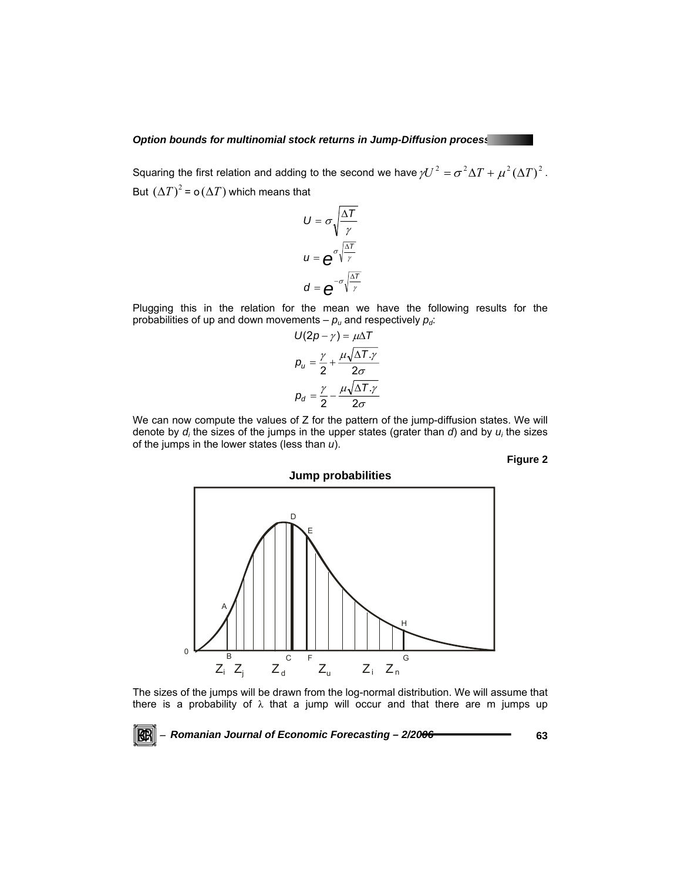#### *Option bounds for multinomial stock returns in Jump-Diffusion processes*

Squaring the first relation and adding to the second we have  $\gamma U^2 = \sigma^2 \Delta T + \mu^2 (\Delta T)^2$ . But  $(\Delta T)^2$  = o  $(\Delta T)$  which means that

$$
U = \sigma \sqrt{\frac{\Delta T}{\gamma}}
$$

$$
u = e^{\sigma \sqrt{\frac{\Delta T}{\gamma}}}
$$

$$
d = e^{-\sigma \sqrt{\frac{\Delta T}{\gamma}}}
$$

Plugging this in the relation for the mean we have the following results for the probabilities of up and down movements  $-p_u$  and respectively  $p_d$ :

$$
U(2p - \gamma) = \mu \Delta T
$$

$$
p_u = \frac{\gamma}{2} + \frac{\mu \sqrt{\Delta T.\gamma}}{2\sigma}
$$

$$
p_d = \frac{\gamma}{2} - \frac{\mu \sqrt{\Delta T.\gamma}}{2\sigma}
$$

We can now compute the values of Z for the pattern of the jump-diffusion states. We will denote by *d<sub>i</sub>* the sizes of the jumps in the upper states (grater than *d*) and by *u<sub>i</sub>* the sizes of the jumps in the lower states (less than *u*).

**Figure 2** 



The sizes of the jumps will be drawn from the log-normal distribution. We will assume that there is a probability of  $\lambda$  that a jump will occur and that there are m jumps up

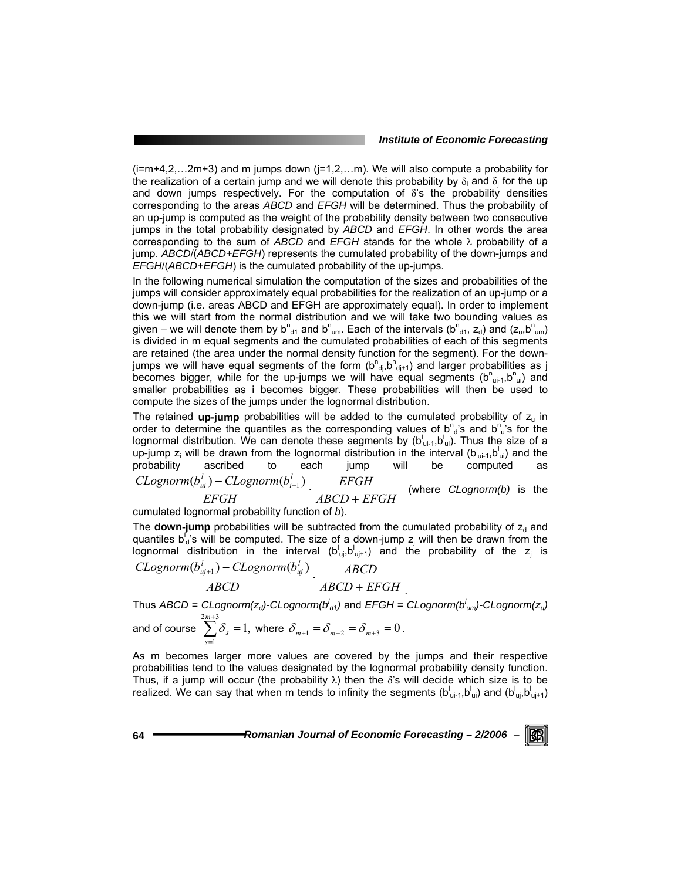$(i=m+4,2,...2m+3)$  and m jumps down  $(j=1,2,...m)$ . We will also compute a probability for the realization of a certain jump and we will denote this probability by  $\delta_i$  and  $\delta_i$  for the up and down jumps respectively. For the computation of  $\delta$ 's the probability densities corresponding to the areas *ABCD* and *EFGH* will be determined. Thus the probability of an up-jump is computed as the weight of the probability density between two consecutive jumps in the total probability designated by *ABCD* and *EFGH*. In other words the area corresponding to the sum of *ABCD* and *EFGH* stands for the whole λ probability of a jump. *ABCD*/(*ABCD+EFGH*) represents the cumulated probability of the down-jumps and *EFGH*/(*ABCD+EFGH*) is the cumulated probability of the up-jumps.

In the following numerical simulation the computation of the sizes and probabilities of the jumps will consider approximately equal probabilities for the realization of an up-jump or a down-jump (i.e. areas ABCD and EFGH are approximately equal). In order to implement this we will start from the normal distribution and we will take two bounding values as given – we will denote them by  $b_{d1}^n$  and  $b_{um}^n$ . Each of the intervals ( $b_{d1}^n$ ,  $z_d$ ) and ( $z_u$ , $b_{um}^n$ ) is divided in m equal segments and the cumulated probabilities of each of this segments are retained (the area under the normal density function for the segment). For the downjumps we will have equal segments of the form  $(b^{n}_{d,b}b^{n}_{d,i+1})$  and larger probabilities as j becomes bigger, while for the up-jumps we will have equal segments  $(b^{n}{}_{ui},b^{n}{}_{ui})$  and smaller probabilities as i becomes bigger. These probabilities will then be used to compute the sizes of the jumps under the lognormal distribution.

The retained **up-jump** probabilities will be added to the cumulated probability of  $z<sub>u</sub>$  in order to determine the quantiles as the corresponding values of  $b^n{}_d$ 's and  $b^n{}_u$ 's for the lognormal distribution. We can denote these segments by  $(b^{\dagger}_{ui-1}, b^{\dagger}_{ui})$ . Thus the size of a up-jump  $z_i$  will be drawn from the lognormal distribution in the interval ( $b^{\dagger}_{ui-1}, b^{\dagger}_{ui}$ ) and the probability ascribed to each jump will be computed as *ABCD EFGH EFGH EFGH*  $CLognorm(b_{ui}^l) - CLognorm(b_i^l)$ (where *CLognorm(b)* is the

cumulated lognormal probability function of *b*).

The **down-jump** probabilities will be subtracted from the cumulated probability of  $z_d$  and quantiles b<sup>r</sup><sub>d</sub>'s will be computed. The size of a down-jump  $z_i$  will then be drawn from the lognormal distribution in the interval  $(b_{ui}^{\dagger}, b_{ui+1}^{\dagger})$  and the probability of the  $z_i$  is

$$
\frac{CLognorm(b_{uj+1}^l) - CLognorm(b_{uj}^l)}{ABCD} \cdot \frac{ABCD}{ABCD + EFGH}
$$

Thus *ABCD = CLognorm(zd)-CLognorm(b<sup>l</sup> d1)* and *EFGH = CLognorm(b<sup>l</sup> um)-CLognorm(zu)* and of course  $\sum_{s=1}^{2m+3} \delta_{s} = 1$ ,  $\sum_{s=1}^{2m+1}$ =  $\sum_{k=1}^{m+3} \delta_k =$  $\sum_{s=1}^{n} \delta_s = 1$ , where  $\delta_{m+1} = \delta_{m+2} = \delta_{m+3} = 0$ .

As m becomes larger more values are covered by the jumps and their respective probabilities tend to the values designated by the lognormal probability density function. Thus, if a jump will occur (the probability  $\lambda$ ) then the  $\delta$ 's will decide which size is to be realized. We can say that when m tends to infinity the segments (b $^l$ <sub>ui-1</sub>,b $^l$ <sub>ui</sub>) and (b $^l$ <sub>uj</sub>,b<sup> $^l$ </sup><sub>uj+1</sub>)

**64** *Romanian Journal of Economic Forecasting – 2/2006* <sup>−</sup>

KB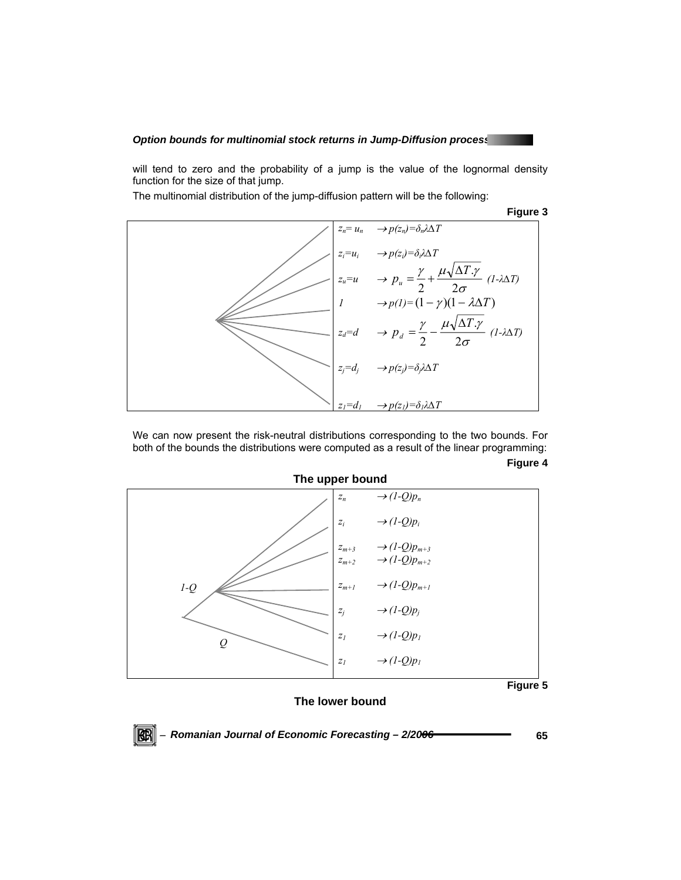#### **Option bounds for multinomial stock returns in Jump-Diffusion processers**

will tend to zero and the probability of a jump is the value of the lognormal density function for the size of that jump.

The multinomial distribution of the jump-diffusion pattern will be the following:

**Figure 3** 



We can now present the risk-neutral distributions corresponding to the two bounds. For both of the bounds the distributions were computed as a result of the linear programming: **Figure 4** 



#### **The lower bound**

 $\mathbb{R}$   $\mathbb{R}$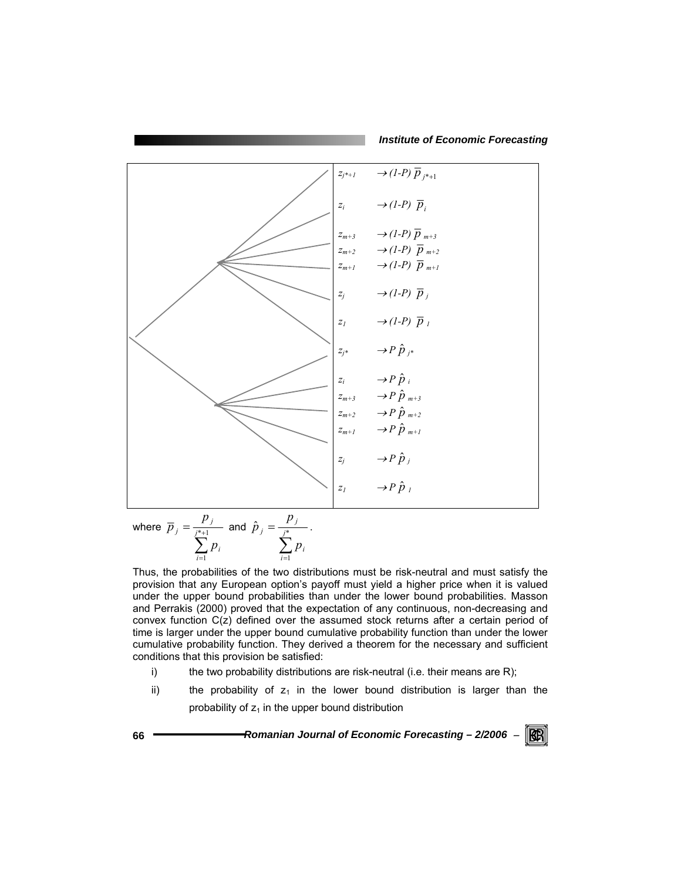*Institute of Economic Forecasting*



where  $\sum^{j^*+1}$ =  $=\frac{r}{j^{*}+1}$ 1 *j*  $\sum_{i=1} P_i$ *j j p p*  $\overline{p}_i = \frac{r}{n+1}$  and  $\sum_{i=1}^{\infty}$  $=\frac{I}{j^*}$ 1  $\hat{p}_j = -\frac{1}{j}$  $\sum_{i=1} P_i$ *j j p p*  $\hat{p}_{i} = \frac{r_{i}}{r_{i}}$ .

Thus, the probabilities of the two distributions must be risk-neutral and must satisfy the provision that any European option's payoff must yield a higher price when it is valued under the upper bound probabilities than under the lower bound probabilities. Masson and Perrakis (2000) proved that the expectation of any continuous, non-decreasing and convex function C(z) defined over the assumed stock returns after a certain period of time is larger under the upper bound cumulative probability function than under the lower cumulative probability function. They derived a theorem for the necessary and sufficient conditions that this provision be satisfied:

- i) the two probability distributions are risk-neutral (i.e. their means are R);
- ii) the probability of  $z_1$  in the lower bound distribution is larger than the probability of  $z_1$  in the upper bound distribution

**66** *Romanian Journal of Economic Forecasting – 2/2006* <sup>−</sup>  $\mathbb{R}$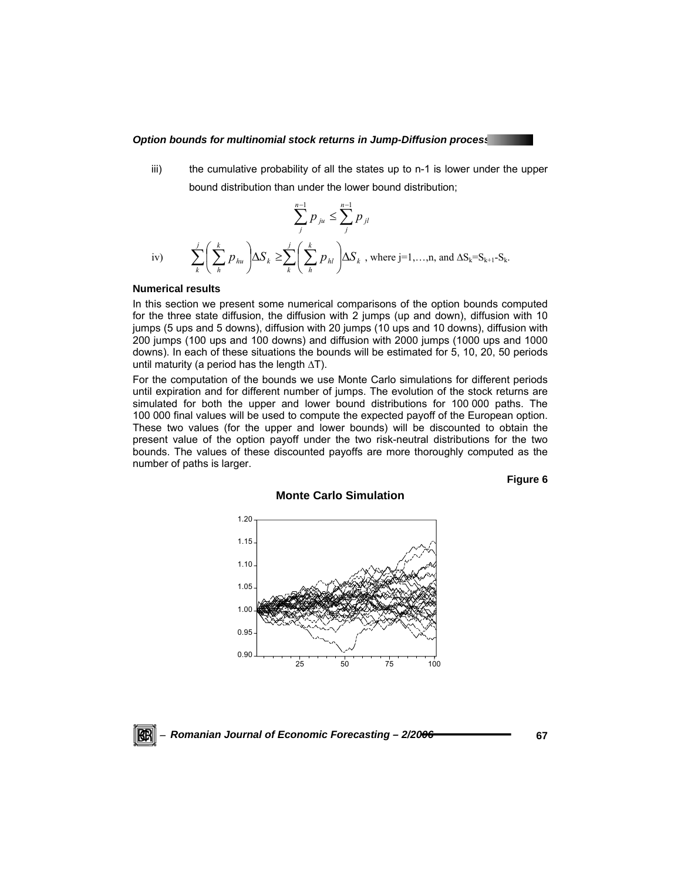#### **Option bounds for multinomial stock returns in Jump-Diffusion processed and the Store of Australian Control of**

iii) the cumulative probability of all the states up to n-1 is lower under the upper bound distribution than under the lower bound distribution;

iv) 
$$
\sum_{j}^{n-1} p_{ju} \le \sum_{j}^{n-1} p_{jl}
$$
  
iv) 
$$
\sum_{k}^{j} \left( \sum_{h}^{k} p_{hu} \right) \Delta S_k \ge \sum_{k}^{j} \left( \sum_{h}^{k} p_{hl} \right) \Delta S_k \text{ , where } j = 1,...,n, \text{ and } \Delta S_k = S_{k+1} - S_k.
$$

#### **Numerical results**

In this section we present some numerical comparisons of the option bounds computed for the three state diffusion, the diffusion with 2 jumps (up and down), diffusion with 10 jumps (5 ups and 5 downs), diffusion with 20 jumps (10 ups and 10 downs), diffusion with 200 jumps (100 ups and 100 downs) and diffusion with 2000 jumps (1000 ups and 1000 downs). In each of these situations the bounds will be estimated for 5, 10, 20, 50 periods until maturity (a period has the length ∆T).

For the computation of the bounds we use Monte Carlo simulations for different periods until expiration and for different number of jumps. The evolution of the stock returns are simulated for both the upper and lower bound distributions for 100 000 paths. The 100 000 final values will be used to compute the expected payoff of the European option. These two values (for the upper and lower bounds) will be discounted to obtain the present value of the option payoff under the two risk-neutral distributions for the two bounds. The values of these discounted payoffs are more thoroughly computed as the number of paths is larger.

**Monte Carlo Simulation** 

**Figure 6** 



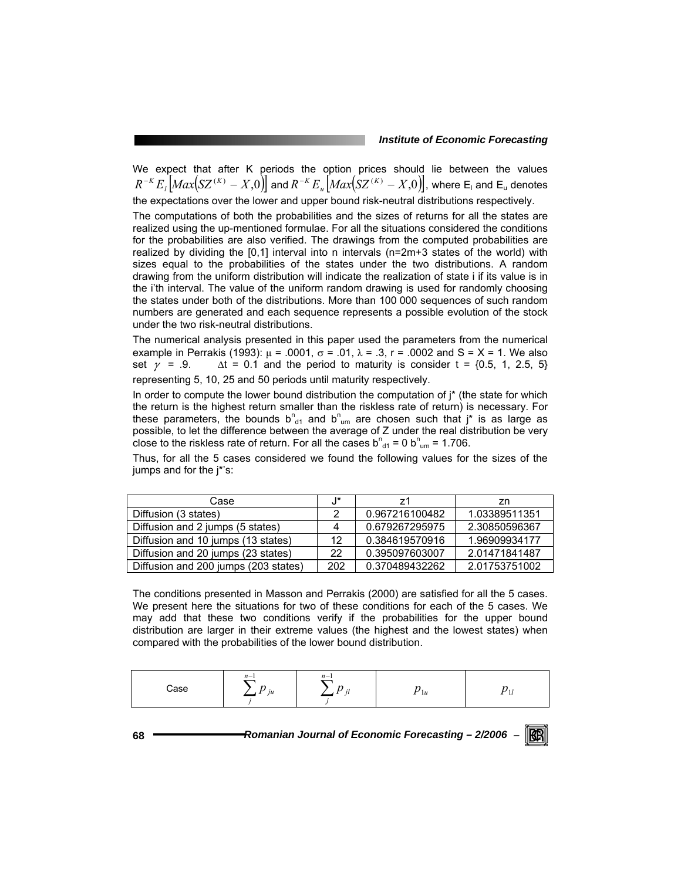We expect that after K periods the option prices should lie between the values  $R^{-K}E_{_I}\big[Max\big(SZ^{(K)}-X,0\big)\big]$  and  $R^{-K}E_{_u}\big[Max\big(SZ^{(K)}-X,0\big)\big]$ , where E<sub>l</sub> and E<sub>u</sub> denotes the expectations over the lower and upper bound risk-neutral distributions respectively.

The computations of both the probabilities and the sizes of returns for all the states are realized using the up-mentioned formulae. For all the situations considered the conditions for the probabilities are also verified. The drawings from the computed probabilities are realized by dividing the  $[0,1]$  interval into n intervals ( $n=2m+3$  states of the world) with sizes equal to the probabilities of the states under the two distributions. A random drawing from the uniform distribution will indicate the realization of state i if its value is in the i'th interval. The value of the uniform random drawing is used for randomly choosing the states under both of the distributions. More than 100 000 sequences of such random numbers are generated and each sequence represents a possible evolution of the stock under the two risk-neutral distributions.

The numerical analysis presented in this paper used the parameters from the numerical example in Perrakis (1993):  $\mu = .0001$ ,  $\sigma = .01$ ,  $\lambda = .3$ , r = .0002 and S = X = 1. We also set  $\gamma$  = .9.  $\Delta t$  = 0.1 and the period to maturity is consider t = {0.5, 1, 2.5, 5} representing 5, 10, 25 and 50 periods until maturity respectively.

In order to compute the lower bound distribution the computation of  $i^*$  (the state for which the return is the highest return smaller than the riskless rate of return) is necessary. For these parameters, the bounds  $b_{d1}^{n}$  and  $b_{um}^{n}$  are chosen such that j\* is as large as possible, to let the difference between the average of Z under the real distribution be very close to the riskless rate of return. For all the cases  $b_{d1}^n = 0$   $b_{um}^n = 1.706$ .

Thus, for all the 5 cases considered we found the following values for the sizes of the jumps and for the j\*'s:

| Case                                 | J*  | 71             | zn            |
|--------------------------------------|-----|----------------|---------------|
| Diffusion (3 states)                 |     | 0.967216100482 | 1.03389511351 |
| Diffusion and 2 jumps (5 states)     | Δ   | 0.679267295975 | 2.30850596367 |
| Diffusion and 10 jumps (13 states)   | 12  | 0.384619570916 | 1.96909934177 |
| Diffusion and 20 jumps (23 states)   | 22  | 0.395097603007 | 2.01471841487 |
| Diffusion and 200 jumps (203 states) | 202 | 0.370489432262 | 2.01753751002 |

The conditions presented in Masson and Perrakis (2000) are satisfied for all the 5 cases. We present here the situations for two of these conditions for each of the 5 cases. We may add that these two conditions verify if the probabilities for the upper bound distribution are larger in their extreme values (the highest and the lowest states) when compared with the probabilities of the lower bound distribution.

|      | $v =$                         | $n -$ |           |  |
|------|-------------------------------|-------|-----------|--|
| .200 | $\sum p_{\mu}$ $\sum p_{\mu}$ |       | $\nu_{1}$ |  |
|      |                               |       |           |  |

**68** *Romanian Journal of Economic Forecasting – 2/2006* <sup>−</sup>

KR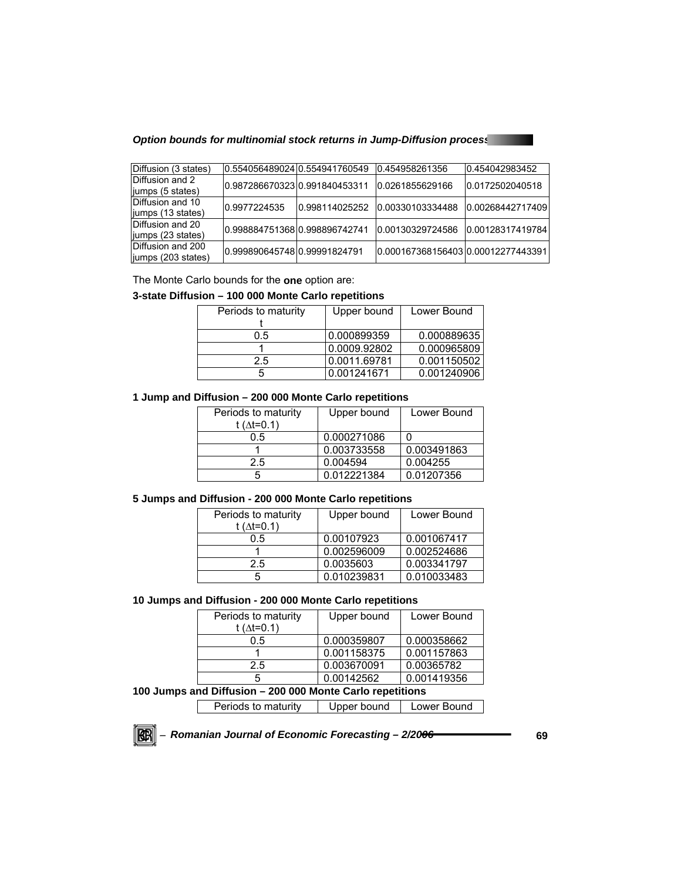*Option bounds for multinomial stock returns in Jump-Diffusion processes* 

| Diffusion (3 states) |                               | 0.554056489024 0.554941760549 | 0.454958261356                    | 0.454042983452   |
|----------------------|-------------------------------|-------------------------------|-----------------------------------|------------------|
| Diffusion and 2      | 0.98728667032310.991840453311 |                               | 0.0261855629166                   | 0.0172502040518  |
| jumps (5 states)     |                               |                               |                                   |                  |
| Diffusion and 10     | 0.9977224535                  | 0.998114025252                | 0.00330103334488                  | 0.00268442717409 |
| liumps (13 states)   |                               |                               |                                   |                  |
| Diffusion and 20     | 0.99888475136810.998896742741 |                               | 0.00130329724586                  | 0.00128317419784 |
| liumps (23 states)   |                               |                               |                                   |                  |
| Diffusion and 200    | 0.99989064574800.99991824791  |                               | 0.0001673681564030.00012277443391 |                  |
| jumps (203 states)   |                               |                               |                                   |                  |

The Monte Carlo bounds for the **one** option are:

## **3-state Diffusion – 100 000 Monte Carlo repetitions**

| Periods to maturity | Upper bound  | Lower Bound |
|---------------------|--------------|-------------|
|                     |              |             |
| 0.5                 | 0.000899359  | 0.000889635 |
|                     | 0.0009.92802 | 0.000965809 |
| 2.5                 | 0.0011.69781 | 0.001150502 |
|                     | 0.001241671  | 0.001240906 |

## **1 Jump and Diffusion – 200 000 Monte Carlo repetitions**

| Periods to maturity<br>t ( $\Delta t = 0.1$ ) | Upper bound | Lower Bound |
|-----------------------------------------------|-------------|-------------|
| 0.5                                           | 0.000271086 |             |
|                                               | 0.003733558 | 0.003491863 |
| 2.5                                           | 0.004594    | 0.004255    |
| ٠h                                            | 0.012221384 | 0.01207356  |

### **5 Jumps and Diffusion - 200 000 Monte Carlo repetitions**

| Periods to maturity<br>t ( $\Delta t = 0.1$ ) | Upper bound | Lower Bound |
|-----------------------------------------------|-------------|-------------|
| 0.5                                           | 0.00107923  | 0.001067417 |
|                                               | 0.002596009 | 0.002524686 |
| 2.5                                           | 0.0035603   | 0.003341797 |
| 5                                             | 0.010239831 | 0.010033483 |

#### **10 Jumps and Diffusion - 200 000 Monte Carlo repetitions**

| Periods to maturity    | Upper bound | Lower Bound |
|------------------------|-------------|-------------|
| t ( $\Delta t = 0.1$ ) |             |             |
| 0.5                    | 0.000359807 | 0.000358662 |
|                        | 0.001158375 | 0.001157863 |
| 2.5                    | 0.003670091 | 0.00365782  |
| 5                      | 0.00142562  | 0.001419356 |

# **100 Jumps and Diffusion – 200 000 Monte Carlo repetitions**

| Periods to maturity | Upper bound | Lower Bound |
|---------------------|-------------|-------------|
|---------------------|-------------|-------------|

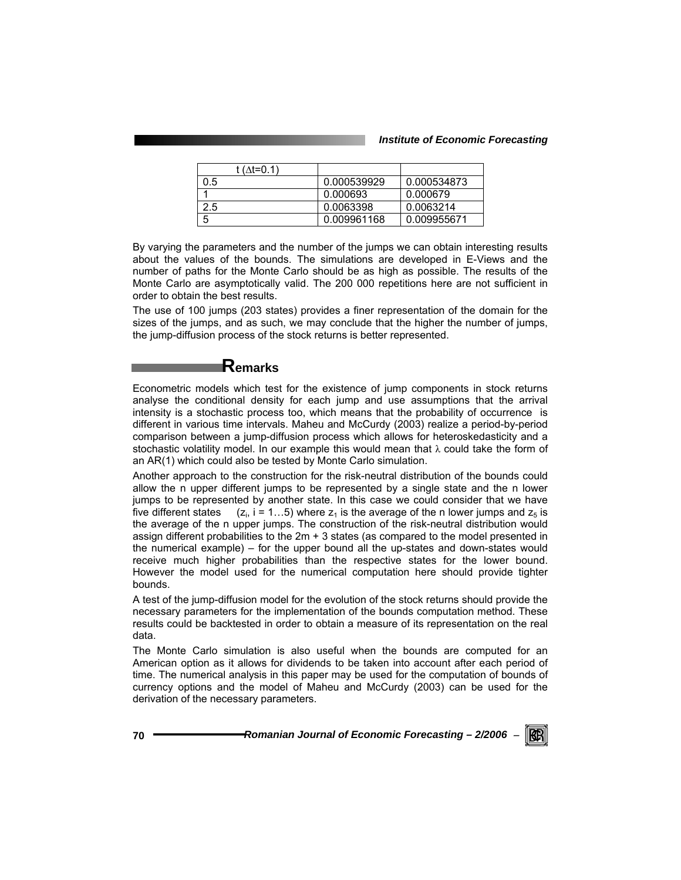| t (∆t=0.1) |             |             |
|------------|-------------|-------------|
| 0.5        | 0.000539929 | 0.000534873 |
|            | 0.000693    | 0.000679    |
| 2.5        | 0.0063398   | 0.0063214   |
| 5          | 0.009961168 | 0.009955671 |

By varying the parameters and the number of the jumps we can obtain interesting results about the values of the bounds. The simulations are developed in E-Views and the number of paths for the Monte Carlo should be as high as possible. The results of the Monte Carlo are asymptotically valid. The 200 000 repetitions here are not sufficient in order to obtain the best results.

The use of 100 jumps (203 states) provides a finer representation of the domain for the sizes of the jumps, and as such, we may conclude that the higher the number of jumps, the jump-diffusion process of the stock returns is better represented.

# **Remarks**

Econometric models which test for the existence of jump components in stock returns analyse the conditional density for each jump and use assumptions that the arrival intensity is a stochastic process too, which means that the probability of occurrence is different in various time intervals. Maheu and McCurdy (2003) realize a period-by-period comparison between a jump-diffusion process which allows for heteroskedasticity and a stochastic volatility model. In our example this would mean that  $\lambda$  could take the form of an AR(1) which could also be tested by Monte Carlo simulation.

Another approach to the construction for the risk-neutral distribution of the bounds could allow the n upper different jumps to be represented by a single state and the n lower jumps to be represented by another state. In this case we could consider that we have five different states  $(z_i, i = 1...5)$  where  $z_1$  is the average of the n lower jumps and  $z_5$  is the average of the n upper jumps. The construction of the risk-neutral distribution would assign different probabilities to the 2m + 3 states (as compared to the model presented in the numerical example) – for the upper bound all the up-states and down-states would receive much higher probabilities than the respective states for the lower bound. However the model used for the numerical computation here should provide tighter bounds.

A test of the jump-diffusion model for the evolution of the stock returns should provide the necessary parameters for the implementation of the bounds computation method. These results could be backtested in order to obtain a measure of its representation on the real data.

The Monte Carlo simulation is also useful when the bounds are computed for an American option as it allows for dividends to be taken into account after each period of time. The numerical analysis in this paper may be used for the computation of bounds of currency options and the model of Maheu and McCurdy (2003) can be used for the derivation of the necessary parameters.

**70** *Romanian Journal of Economic Forecasting – 2/2006* <sup>−</sup>

RCRI